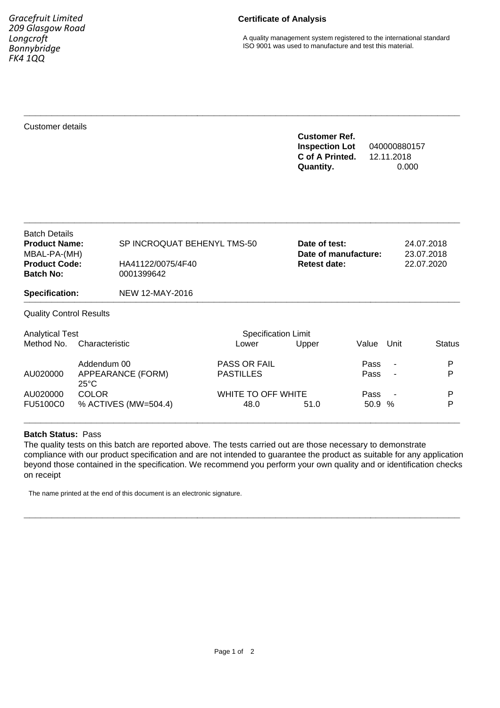*Gracefruit Limited 209 Glasgow Road Longcroft Bonnybridge FK4 1QQ*

## **Certificate of Analysis**

A quality management system registered to the international standard ISO 9001 was used to manufacture and test this material.

Customer details

## **Customer Ref. Inspection Lot** 040000880157 **C of A Printed.** 12.11.2018 **Quantity.** 0.000

| <b>Batch Details</b><br><b>Product Name:</b><br>MBAL-PA-(MH)<br><b>Product Code:</b><br><b>Batch No:</b><br><b>Specification:</b> |                   | SP INCROQUAT BEHENYL TMS-50<br>HA41122/0075/4F40<br>0001399642 |                     | Date of test:<br>Date of manufacture:<br><b>Retest date:</b> |       | 24.07.2018<br>23.07.2018<br>22.07.2020 |               |
|-----------------------------------------------------------------------------------------------------------------------------------|-------------------|----------------------------------------------------------------|---------------------|--------------------------------------------------------------|-------|----------------------------------------|---------------|
|                                                                                                                                   |                   | NEW 12-MAY-2016                                                |                     |                                                              |       |                                        |               |
| <b>Quality Control Results</b>                                                                                                    |                   |                                                                |                     |                                                              |       |                                        |               |
| <b>Analytical Test</b>                                                                                                            |                   | <b>Specification Limit</b>                                     |                     |                                                              |       |                                        |               |
| Method No.<br>Characteristic                                                                                                      |                   |                                                                | Lower               | Upper                                                        | Value | Unit                                   | <b>Status</b> |
|                                                                                                                                   | Addendum 00       |                                                                | <b>PASS OR FAIL</b> |                                                              | Pass  | $\blacksquare$                         | P             |
| AU020000                                                                                                                          | APPEARANCE (FORM) |                                                                | <b>PASTILLES</b>    |                                                              | Pass  | $\overline{\phantom{a}}$               | P             |
|                                                                                                                                   | $25^{\circ}$ C    |                                                                |                     |                                                              |       |                                        |               |
| AU020000                                                                                                                          | <b>COLOR</b>      |                                                                | WHITE TO OFF WHITE  |                                                              | Pass  |                                        | P             |
| FU5100C0                                                                                                                          |                   | % ACTIVES (MW=504.4)                                           | 48.0                | 51.0                                                         | 50.9  | $\%$                                   | P             |

**\_\_\_\_\_\_\_\_\_\_\_\_\_\_\_\_\_\_\_\_\_\_\_\_\_\_\_\_\_\_\_\_\_\_\_\_\_\_\_\_\_\_\_\_\_\_\_\_\_\_\_\_\_\_\_\_\_\_\_\_\_\_\_\_\_\_\_\_\_\_\_\_\_\_\_\_\_\_**

**\_\_\_\_\_\_\_\_\_\_\_\_\_\_\_\_\_\_\_\_\_\_\_\_\_\_\_\_\_\_\_\_\_\_\_\_\_\_\_\_\_\_\_\_\_\_\_\_\_\_\_\_\_\_\_\_\_\_\_\_\_\_\_\_\_\_\_\_\_\_\_\_\_\_\_\_\_\_**

#### **Batch Status:** Pass

The quality tests on this batch are reported above. The tests carried out are those necessary to demonstrate compliance with our product specification and are not intended to guarantee the product as suitable for any application beyond those contained in the specification. We recommend you perform your own quality and or identification checks on receipt

**\_\_\_\_\_\_\_\_\_\_\_\_\_\_\_\_\_\_\_\_\_\_\_\_\_\_\_\_\_\_\_\_\_\_\_\_\_\_\_\_\_\_\_\_\_\_\_\_\_\_\_\_\_\_\_\_\_\_\_\_\_\_\_\_\_\_\_\_\_\_\_\_\_\_\_\_\_\_**

**\_\_\_\_\_\_\_\_\_\_\_\_\_\_\_\_\_\_\_\_\_\_\_\_\_\_\_\_\_\_\_\_\_\_\_\_\_\_\_\_\_\_\_\_\_\_\_\_\_\_\_\_\_\_\_\_\_\_\_\_\_\_\_\_\_\_\_\_\_\_\_\_\_\_\_\_\_\_**

The name printed at the end of this document is an electronic signature.